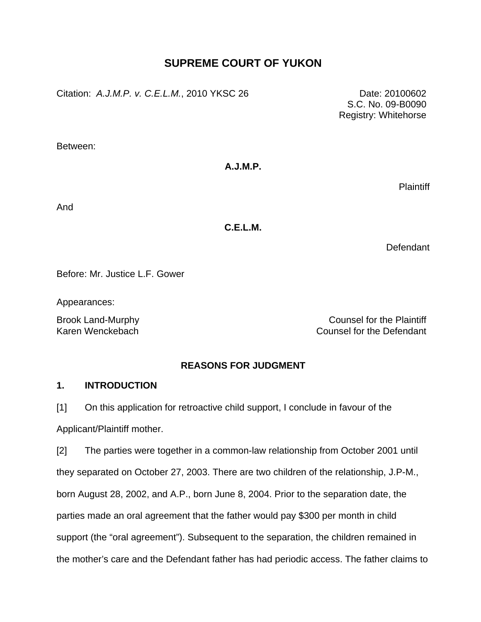# **SUPREME COURT OF YUKON**

Citation: *A.J.M.P. v. C.E.L.M.*, 2010 YKSC 26 Date: 20100602

 S.C. No. 09-B0090 Registry: Whitehorse

Between:

# **A.J.M.P.**

Plaintiff

And

**C.E.L.M.** 

**Defendant** 

Before: Mr. Justice L.F. Gower

Appearances:

Brook Land-Murphy **Counsel for the Plaintiff** Karen Wenckebach Counsel for the Defendant

# **REASONS FOR JUDGMENT**

# **1. INTRODUCTION**

[1] On this application for retroactive child support, I conclude in favour of the Applicant/Plaintiff mother.

[2] The parties were together in a common-law relationship from October 2001 until they separated on October 27, 2003. There are two children of the relationship, J.P-M., born August 28, 2002, and A.P., born June 8, 2004. Prior to the separation date, the parties made an oral agreement that the father would pay \$300 per month in child support (the "oral agreement"). Subsequent to the separation, the children remained in the mother's care and the Defendant father has had periodic access. The father claims to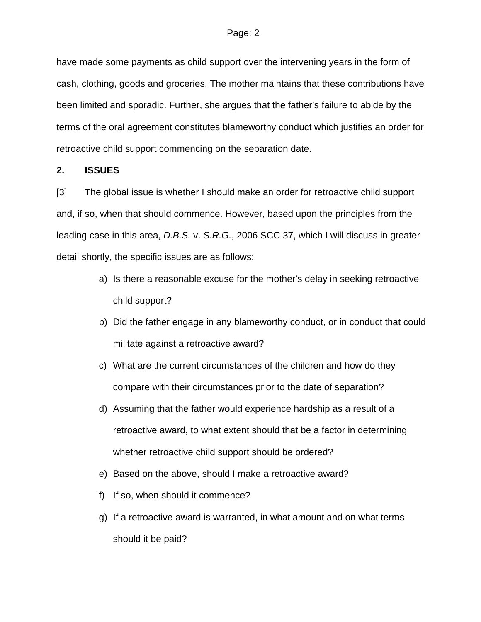have made some payments as child support over the intervening years in the form of cash, clothing, goods and groceries. The mother maintains that these contributions have been limited and sporadic. Further, she argues that the father's failure to abide by the terms of the oral agreement constitutes blameworthy conduct which justifies an order for retroactive child support commencing on the separation date.

### **2. ISSUES**

[3] The global issue is whether I should make an order for retroactive child support and, if so, when that should commence. However, based upon the principles from the leading case in this area, *D.B.S.* v. *S.R.G.*, 2006 SCC 37, which I will discuss in greater detail shortly, the specific issues are as follows:

- a) Is there a reasonable excuse for the mother's delay in seeking retroactive child support?
- b) Did the father engage in any blameworthy conduct, or in conduct that could militate against a retroactive award?
- c) What are the current circumstances of the children and how do they compare with their circumstances prior to the date of separation?
- d) Assuming that the father would experience hardship as a result of a retroactive award, to what extent should that be a factor in determining whether retroactive child support should be ordered?
- e) Based on the above, should I make a retroactive award?
- f) If so, when should it commence?
- g) If a retroactive award is warranted, in what amount and on what terms should it be paid?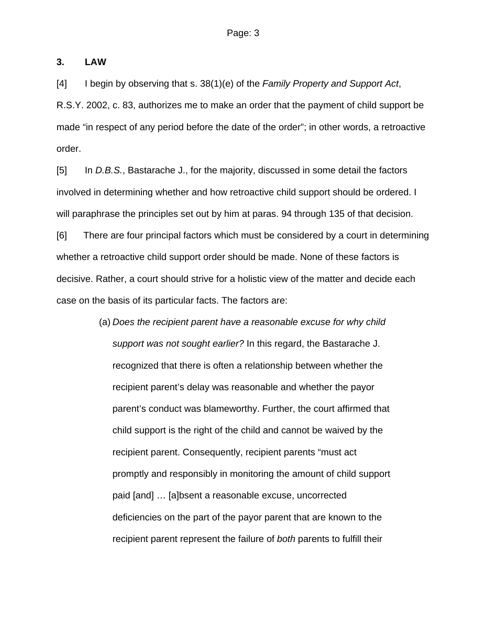### **3. LAW**

[4] I begin by observing that s. 38(1)(e) of the *Family Property and Support Act*, R.S.Y. 2002, c. 83, authorizes me to make an order that the payment of child support be made "in respect of any period before the date of the order"; in other words, a retroactive order.

[5] In *D.B.S.*, Bastarache J., for the majority, discussed in some detail the factors involved in determining whether and how retroactive child support should be ordered. I will paraphrase the principles set out by him at paras. 94 through 135 of that decision.

[6] There are four principal factors which must be considered by a court in determining whether a retroactive child support order should be made. None of these factors is decisive. Rather, a court should strive for a holistic view of the matter and decide each case on the basis of its particular facts. The factors are:

> (a) *Does the recipient parent have a reasonable excuse for why child support was not sought earlier?* In this regard, the Bastarache J. recognized that there is often a relationship between whether the recipient parent's delay was reasonable and whether the payor parent's conduct was blameworthy. Further, the court affirmed that child support is the right of the child and cannot be waived by the recipient parent. Consequently, recipient parents "must act promptly and responsibly in monitoring the amount of child support paid [and] … [a]bsent a reasonable excuse, uncorrected deficiencies on the part of the payor parent that are known to the recipient parent represent the failure of *both* parents to fulfill their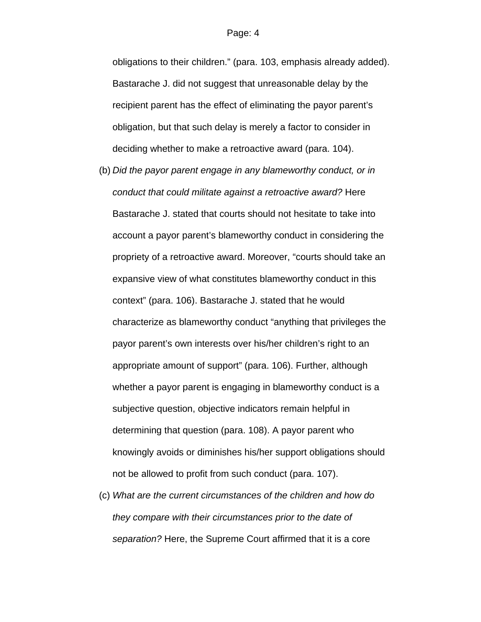obligations to their children." (para. 103, emphasis already added). Bastarache J. did not suggest that unreasonable delay by the recipient parent has the effect of eliminating the payor parent's obligation, but that such delay is merely a factor to consider in deciding whether to make a retroactive award (para. 104).

- (b) *Did the payor parent engage in any blameworthy conduct, or in conduct that could militate against a retroactive award?* Here Bastarache J. stated that courts should not hesitate to take into account a payor parent's blameworthy conduct in considering the propriety of a retroactive award. Moreover, "courts should take an expansive view of what constitutes blameworthy conduct in this context" (para. 106). Bastarache J. stated that he would characterize as blameworthy conduct "anything that privileges the payor parent's own interests over his/her children's right to an appropriate amount of support" (para. 106). Further, although whether a payor parent is engaging in blameworthy conduct is a subjective question, objective indicators remain helpful in determining that question (para. 108). A payor parent who knowingly avoids or diminishes his/her support obligations should not be allowed to profit from such conduct (para. 107).
- (c) *What are the current circumstances of the children and how do they compare with their circumstances prior to the date of separation?* Here, the Supreme Court affirmed that it is a core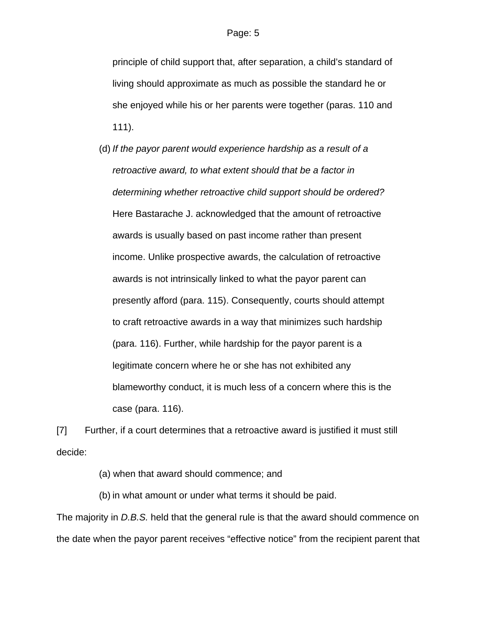principle of child support that, after separation, a child's standard of living should approximate as much as possible the standard he or she enjoyed while his or her parents were together (paras. 110 and 111).

(d) *If the payor parent would experience hardship as a result of a retroactive award, to what extent should that be a factor in determining whether retroactive child support should be ordered?*  Here Bastarache J. acknowledged that the amount of retroactive awards is usually based on past income rather than present income. Unlike prospective awards, the calculation of retroactive awards is not intrinsically linked to what the payor parent can presently afford (para. 115). Consequently, courts should attempt to craft retroactive awards in a way that minimizes such hardship (para. 116). Further, while hardship for the payor parent is a legitimate concern where he or she has not exhibited any blameworthy conduct, it is much less of a concern where this is the case (para. 116).

[7] Further, if a court determines that a retroactive award is justified it must still decide:

(a) when that award should commence; and

(b) in what amount or under what terms it should be paid.

The majority in *D.B.S.* held that the general rule is that the award should commence on the date when the payor parent receives "effective notice" from the recipient parent that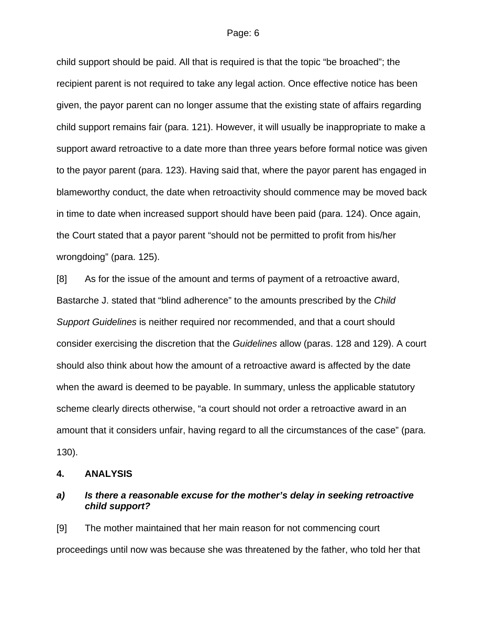child support should be paid. All that is required is that the topic "be broached"; the recipient parent is not required to take any legal action. Once effective notice has been given, the payor parent can no longer assume that the existing state of affairs regarding child support remains fair (para. 121). However, it will usually be inappropriate to make a support award retroactive to a date more than three years before formal notice was given to the payor parent (para. 123). Having said that, where the payor parent has engaged in blameworthy conduct, the date when retroactivity should commence may be moved back in time to date when increased support should have been paid (para. 124). Once again, the Court stated that a payor parent "should not be permitted to profit from his/her wrongdoing" (para. 125).

[8] As for the issue of the amount and terms of payment of a retroactive award, Bastarche J. stated that "blind adherence" to the amounts prescribed by the *Child Support Guidelines* is neither required nor recommended, and that a court should consider exercising the discretion that the *Guidelines* allow (paras. 128 and 129). A court should also think about how the amount of a retroactive award is affected by the date when the award is deemed to be payable. In summary, unless the applicable statutory scheme clearly directs otherwise, "a court should not order a retroactive award in an amount that it considers unfair, having regard to all the circumstances of the case" (para. 130).

#### **4. ANALYSIS**

### *a) Is there a reasonable excuse for the mother's delay in seeking retroactive child support?*

[9] The mother maintained that her main reason for not commencing court proceedings until now was because she was threatened by the father, who told her that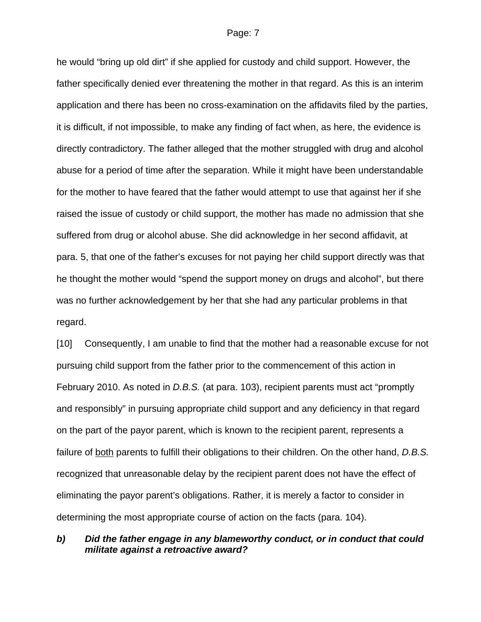he would "bring up old dirt" if she applied for custody and child support. However, the father specifically denied ever threatening the mother in that regard. As this is an interim application and there has been no cross-examination on the affidavits filed by the parties, it is difficult, if not impossible, to make any finding of fact when, as here, the evidence is directly contradictory. The father alleged that the mother struggled with drug and alcohol abuse for a period of time after the separation. While it might have been understandable for the mother to have feared that the father would attempt to use that against her if she raised the issue of custody or child support, the mother has made no admission that she suffered from drug or alcohol abuse. She did acknowledge in her second affidavit, at para. 5, that one of the father's excuses for not paying her child support directly was that he thought the mother would "spend the support money on drugs and alcohol", but there was no further acknowledgement by her that she had any particular problems in that regard.

[10] Consequently, I am unable to find that the mother had a reasonable excuse for not pursuing child support from the father prior to the commencement of this action in February 2010. As noted in *D.B.S.* (at para. 103), recipient parents must act "promptly and responsibly" in pursuing appropriate child support and any deficiency in that regard on the part of the payor parent, which is known to the recipient parent, represents a failure of both parents to fulfill their obligations to their children. On the other hand, *D.B.S.* recognized that unreasonable delay by the recipient parent does not have the effect of eliminating the payor parent's obligations. Rather, it is merely a factor to consider in determining the most appropriate course of action on the facts (para. 104).

## *b) Did the father engage in any blameworthy conduct, or in conduct that could militate against a retroactive award?*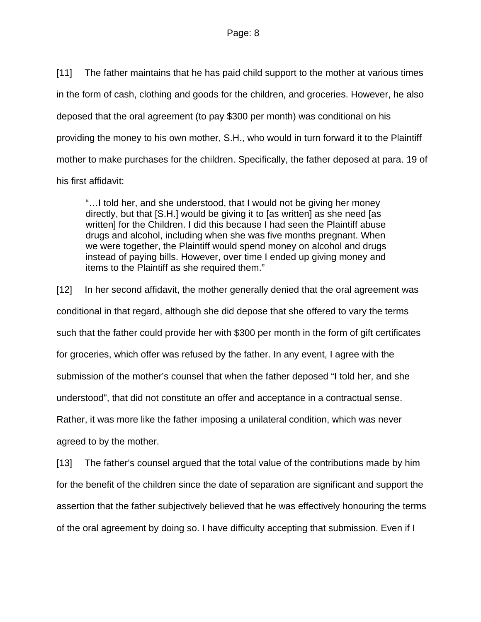[11] The father maintains that he has paid child support to the mother at various times in the form of cash, clothing and goods for the children, and groceries. However, he also deposed that the oral agreement (to pay \$300 per month) was conditional on his providing the money to his own mother, S.H., who would in turn forward it to the Plaintiff mother to make purchases for the children. Specifically, the father deposed at para. 19 of his first affidavit:

"…I told her, and she understood, that I would not be giving her money directly, but that [S.H.] would be giving it to [as written] as she need [as written] for the Children. I did this because I had seen the Plaintiff abuse drugs and alcohol, including when she was five months pregnant. When we were together, the Plaintiff would spend money on alcohol and drugs instead of paying bills. However, over time I ended up giving money and items to the Plaintiff as she required them."

[12] In her second affidavit, the mother generally denied that the oral agreement was conditional in that regard, although she did depose that she offered to vary the terms such that the father could provide her with \$300 per month in the form of gift certificates for groceries, which offer was refused by the father. In any event, I agree with the submission of the mother's counsel that when the father deposed "I told her, and she understood", that did not constitute an offer and acceptance in a contractual sense. Rather, it was more like the father imposing a unilateral condition, which was never agreed to by the mother.

[13] The father's counsel argued that the total value of the contributions made by him for the benefit of the children since the date of separation are significant and support the assertion that the father subjectively believed that he was effectively honouring the terms of the oral agreement by doing so. I have difficulty accepting that submission. Even if I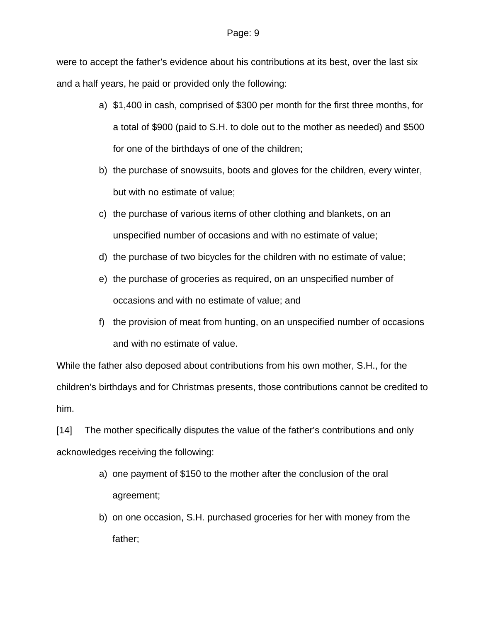were to accept the father's evidence about his contributions at its best, over the last six and a half years, he paid or provided only the following:

- a) \$1,400 in cash, comprised of \$300 per month for the first three months, for a total of \$900 (paid to S.H. to dole out to the mother as needed) and \$500 for one of the birthdays of one of the children;
- b) the purchase of snowsuits, boots and gloves for the children, every winter, but with no estimate of value;
- c) the purchase of various items of other clothing and blankets, on an unspecified number of occasions and with no estimate of value;
- d) the purchase of two bicycles for the children with no estimate of value;
- e) the purchase of groceries as required, on an unspecified number of occasions and with no estimate of value; and
- f) the provision of meat from hunting, on an unspecified number of occasions and with no estimate of value.

While the father also deposed about contributions from his own mother, S.H., for the children's birthdays and for Christmas presents, those contributions cannot be credited to him.

[14] The mother specifically disputes the value of the father's contributions and only acknowledges receiving the following:

- a) one payment of \$150 to the mother after the conclusion of the oral agreement;
- b) on one occasion, S.H. purchased groceries for her with money from the father;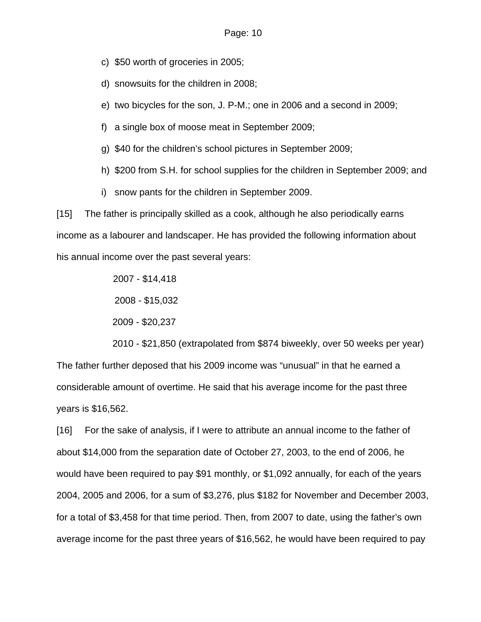- c) \$50 worth of groceries in 2005;
- d) snowsuits for the children in 2008;
- e) two bicycles for the son, J. P-M.; one in 2006 and a second in 2009;
- f) a single box of moose meat in September 2009;
- g) \$40 for the children's school pictures in September 2009;
- h) \$200 from S.H. for school supplies for the children in September 2009; and
- i) snow pants for the children in September 2009.

[15] The father is principally skilled as a cook, although he also periodically earns income as a labourer and landscaper. He has provided the following information about his annual income over the past several years:

2007 - \$14,418

2008 - \$15,032

2009 - \$20,237

2010 - \$21,850 (extrapolated from \$874 biweekly, over 50 weeks per year) The father further deposed that his 2009 income was "unusual" in that he earned a considerable amount of overtime. He said that his average income for the past three years is \$16,562.

[16] For the sake of analysis, if I were to attribute an annual income to the father of about \$14,000 from the separation date of October 27, 2003, to the end of 2006, he would have been required to pay \$91 monthly, or \$1,092 annually, for each of the years 2004, 2005 and 2006, for a sum of \$3,276, plus \$182 for November and December 2003, for a total of \$3,458 for that time period. Then, from 2007 to date, using the father's own average income for the past three years of \$16,562, he would have been required to pay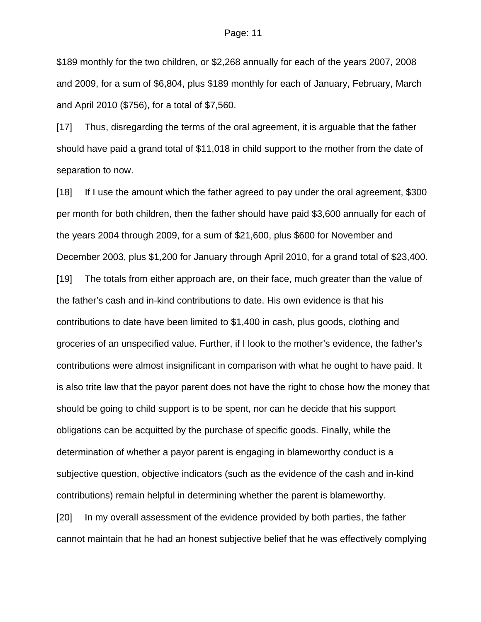\$189 monthly for the two children, or \$2,268 annually for each of the years 2007, 2008 and 2009, for a sum of \$6,804, plus \$189 monthly for each of January, February, March and April 2010 (\$756), for a total of \$7,560.

[17] Thus, disregarding the terms of the oral agreement, it is arguable that the father should have paid a grand total of \$11,018 in child support to the mother from the date of separation to now.

[18] If I use the amount which the father agreed to pay under the oral agreement, \$300 per month for both children, then the father should have paid \$3,600 annually for each of the years 2004 through 2009, for a sum of \$21,600, plus \$600 for November and December 2003, plus \$1,200 for January through April 2010, for a grand total of \$23,400. [19] The totals from either approach are, on their face, much greater than the value of the father's cash and in-kind contributions to date. His own evidence is that his contributions to date have been limited to \$1,400 in cash, plus goods, clothing and groceries of an unspecified value. Further, if I look to the mother's evidence, the father's contributions were almost insignificant in comparison with what he ought to have paid. It is also trite law that the payor parent does not have the right to chose how the money that should be going to child support is to be spent, nor can he decide that his support obligations can be acquitted by the purchase of specific goods. Finally, while the determination of whether a payor parent is engaging in blameworthy conduct is a subjective question, objective indicators (such as the evidence of the cash and in-kind contributions) remain helpful in determining whether the parent is blameworthy. [20] In my overall assessment of the evidence provided by both parties, the father cannot maintain that he had an honest subjective belief that he was effectively complying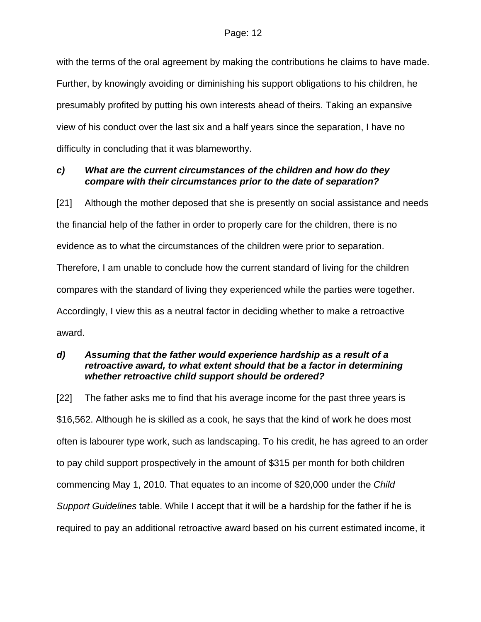with the terms of the oral agreement by making the contributions he claims to have made. Further, by knowingly avoiding or diminishing his support obligations to his children, he presumably profited by putting his own interests ahead of theirs. Taking an expansive view of his conduct over the last six and a half years since the separation, I have no difficulty in concluding that it was blameworthy.

# *c) What are the current circumstances of the children and how do they compare with their circumstances prior to the date of separation?*

[21] Although the mother deposed that she is presently on social assistance and needs the financial help of the father in order to properly care for the children, there is no evidence as to what the circumstances of the children were prior to separation. Therefore, I am unable to conclude how the current standard of living for the children compares with the standard of living they experienced while the parties were together. Accordingly, I view this as a neutral factor in deciding whether to make a retroactive award.

# *d) Assuming that the father would experience hardship as a result of a retroactive award, to what extent should that be a factor in determining whether retroactive child support should be ordered?*

[22] The father asks me to find that his average income for the past three years is \$16,562. Although he is skilled as a cook, he says that the kind of work he does most often is labourer type work, such as landscaping. To his credit, he has agreed to an order to pay child support prospectively in the amount of \$315 per month for both children commencing May 1, 2010. That equates to an income of \$20,000 under the *Child Support Guidelines* table. While I accept that it will be a hardship for the father if he is required to pay an additional retroactive award based on his current estimated income, it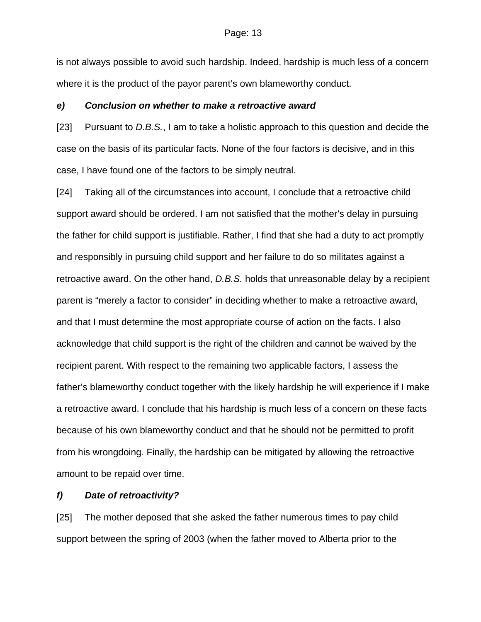is not always possible to avoid such hardship. Indeed, hardship is much less of a concern where it is the product of the payor parent's own blameworthy conduct.

#### *e) Conclusion on whether to make a retroactive award*

[23] Pursuant to *D.B.S.*, I am to take a holistic approach to this question and decide the case on the basis of its particular facts. None of the four factors is decisive, and in this case, I have found one of the factors to be simply neutral.

[24] Taking all of the circumstances into account, I conclude that a retroactive child support award should be ordered. I am not satisfied that the mother's delay in pursuing the father for child support is justifiable. Rather, I find that she had a duty to act promptly and responsibly in pursuing child support and her failure to do so militates against a retroactive award. On the other hand, *D.B.S.* holds that unreasonable delay by a recipient parent is "merely a factor to consider" in deciding whether to make a retroactive award, and that I must determine the most appropriate course of action on the facts. I also acknowledge that child support is the right of the children and cannot be waived by the recipient parent. With respect to the remaining two applicable factors, I assess the father's blameworthy conduct together with the likely hardship he will experience if I make a retroactive award. I conclude that his hardship is much less of a concern on these facts because of his own blameworthy conduct and that he should not be permitted to profit from his wrongdoing. Finally, the hardship can be mitigated by allowing the retroactive amount to be repaid over time.

#### *f) Date of retroactivity?*

[25] The mother deposed that she asked the father numerous times to pay child support between the spring of 2003 (when the father moved to Alberta prior to the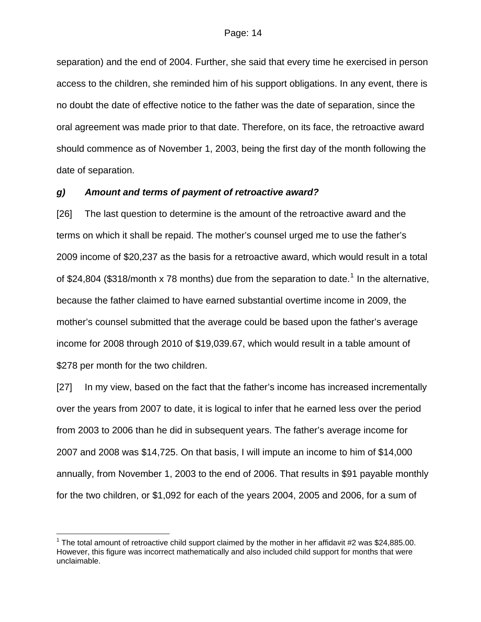separation) and the end of 2004. Further, she said that every time he exercised in person access to the children, she reminded him of his support obligations. In any event, there is no doubt the date of effective notice to the father was the date of separation, since the oral agreement was made prior to that date. Therefore, on its face, the retroactive award should commence as of November 1, 2003, being the first day of the month following the date of separation.

### *g) Amount and terms of payment of retroactive award?*

[26] The last question to determine is the amount of the retroactive award and the terms on which it shall be repaid. The mother's counsel urged me to use the father's 2009 income of \$20,237 as the basis for a retroactive award, which would result in a total of \$24,804 (\$3[1](#page-13-0)8/month x 78 months) due from the separation to date.<sup>1</sup> In the alternative, because the father claimed to have earned substantial overtime income in 2009, the mother's counsel submitted that the average could be based upon the father's average income for 2008 through 2010 of \$19,039.67, which would result in a table amount of \$278 per month for the two children.

[27] In my view, based on the fact that the father's income has increased incrementally over the years from 2007 to date, it is logical to infer that he earned less over the period from 2003 to 2006 than he did in subsequent years. The father's average income for 2007 and 2008 was \$14,725. On that basis, I will impute an income to him of \$14,000 annually, from November 1, 2003 to the end of 2006. That results in \$91 payable monthly for the two children, or \$1,092 for each of the years 2004, 2005 and 2006, for a sum of

 $\overline{a}$ 

<span id="page-13-0"></span><sup>&</sup>lt;sup>1</sup> The total amount of retroactive child support claimed by the mother in her affidavit #2 was \$24,885.00. However, this figure was incorrect mathematically and also included child support for months that were unclaimable.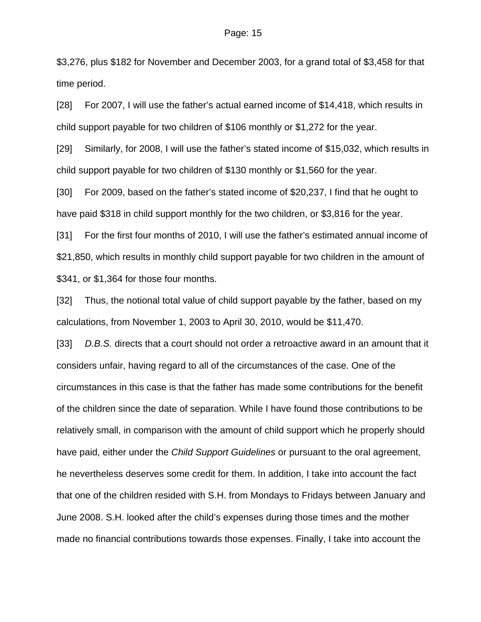\$3,276, plus \$182 for November and December 2003, for a grand total of \$3,458 for that time period.

[28] For 2007, I will use the father's actual earned income of \$14,418, which results in child support payable for two children of \$106 monthly or \$1,272 for the year.

[29] Similarly, for 2008, I will use the father's stated income of \$15,032, which results in child support payable for two children of \$130 monthly or \$1,560 for the year.

[30] For 2009, based on the father's stated income of \$20,237, I find that he ought to have paid \$318 in child support monthly for the two children, or \$3,816 for the year.

[31] For the first four months of 2010, I will use the father's estimated annual income of \$21,850, which results in monthly child support payable for two children in the amount of \$341, or \$1,364 for those four months.

[32] Thus, the notional total value of child support payable by the father, based on my calculations, from November 1, 2003 to April 30, 2010, would be \$11,470.

[33] *D.B.S.* directs that a court should not order a retroactive award in an amount that it considers unfair, having regard to all of the circumstances of the case. One of the circumstances in this case is that the father has made some contributions for the benefit of the children since the date of separation. While I have found those contributions to be relatively small, in comparison with the amount of child support which he properly should have paid, either under the *Child Support Guidelines* or pursuant to the oral agreement, he nevertheless deserves some credit for them. In addition, I take into account the fact that one of the children resided with S.H. from Mondays to Fridays between January and June 2008. S.H. looked after the child's expenses during those times and the mother made no financial contributions towards those expenses. Finally, I take into account the